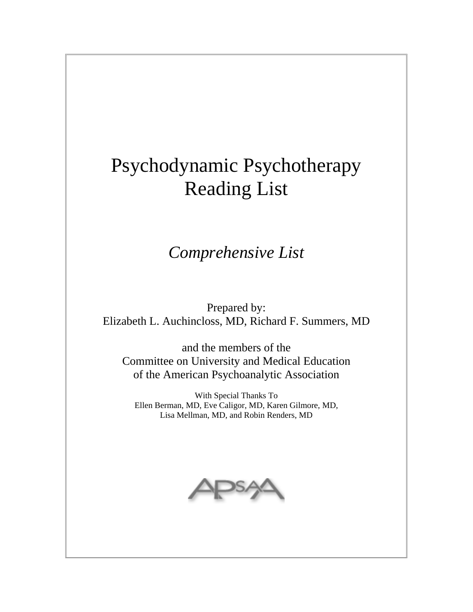# Psychodynamic Psychotherapy Reading List

# *Comprehensive List*

Prepared by: Elizabeth L. Auchincloss, MD, Richard F. Summers, MD

and the members of the Committee on University and Medical Education of the American Psychoanalytic Association

With Special Thanks To Ellen Berman, MD, Eve Caligor, MD, Karen Gilmore, MD, Lisa Mellman, MD, and Robin Renders, MD

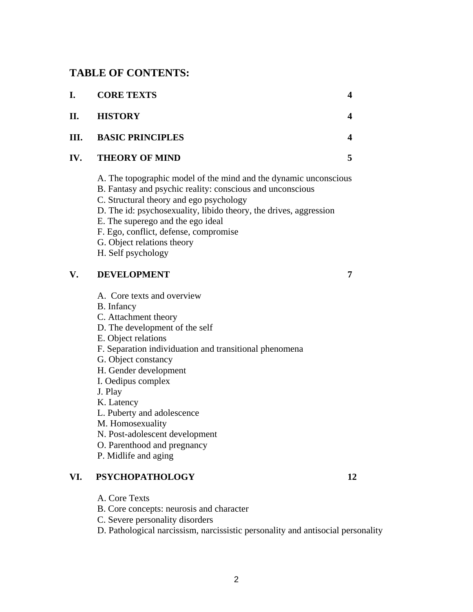# **TABLE OF CONTENTS:**

| I.  | <b>CORE TEXTS</b>                                                                                                                                                                                                                                                                                                                                                               | $\overline{\mathbf{4}}$ |
|-----|---------------------------------------------------------------------------------------------------------------------------------------------------------------------------------------------------------------------------------------------------------------------------------------------------------------------------------------------------------------------------------|-------------------------|
| II. | <b>HISTORY</b>                                                                                                                                                                                                                                                                                                                                                                  | $\overline{\mathbf{4}}$ |
| Ш.  | <b>BASIC PRINCIPLES</b>                                                                                                                                                                                                                                                                                                                                                         | 4                       |
| IV. | <b>THEORY OF MIND</b>                                                                                                                                                                                                                                                                                                                                                           | 5                       |
|     | A. The topographic model of the mind and the dynamic unconscious<br>B. Fantasy and psychic reality: conscious and unconscious<br>C. Structural theory and ego psychology<br>D. The id: psychosexuality, libido theory, the drives, aggression<br>E. The superego and the ego ideal<br>F. Ego, conflict, defense, compromise<br>G. Object relations theory<br>H. Self psychology |                         |
| V.  | <b>DEVELOPMENT</b>                                                                                                                                                                                                                                                                                                                                                              | 7                       |
|     | A. Core texts and overview<br><b>B.</b> Infancy<br>C. Attachment theory<br>D. The development of the self<br>E. Object relations<br>F. Separation individuation and transitional phenomena<br>G. Object constancy<br>H. Gender development<br>I. Oedipus complex<br>J. Play<br>K. Latency<br>L. Puberty and adolescence                                                         |                         |

- M. Homosexuality
- N. Post-adolescent development
- O. Parenthood and pregnancy
- P. Midlife and aging

# **VI. PSYCHOPATHOLOGY 12**

- A. Core Texts
- B. Core concepts: neurosis and character
- C. Severe personality disorders

2

D. Pathological narcissism, narcissistic personality and antisocial personality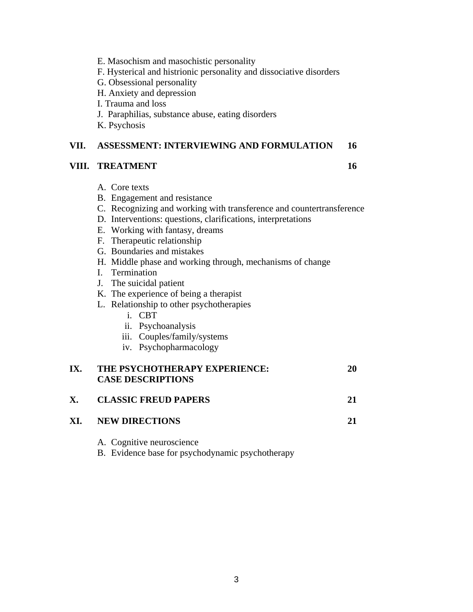- E. Masochism and masochistic personality
- F. Hysterical and histrionic personality and dissociative disorders
- G. Obsessional personality
- H. Anxiety and depression
- I. Trauma and loss
- J. Paraphilias, substance abuse, eating disorders
- K. Psychosis

#### **VII. ASSESSMENT: INTERVIEWING AND FORMULATION 16**

#### **VIII. TREATMENT** 16

- A. Core texts
- B. Engagement and resistance
- C. Recognizing and working with transference and countertransference
- D. Interventions: questions, clarifications, interpretations
- E. Working with fantasy, dreams
- F. Therapeutic relationship
- G. Boundaries and mistakes
- H. Middle phase and working through, mechanisms of change
- I. Termination
- J. The suicidal patient
- K. The experience of being a therapist
- L. Relationship to other psychotherapies
	- i. CBT
	- ii. Psychoanalysis
	- iii. Couples/family/systems
	- iv. Psychopharmacology

# **IX. THE PSYCHOTHERAPY EXPERIENCE: 20 CASE DESCRIPTIONS**

**X. CLASSIC FREUD PAPERS 21** 

### **XI. NEW DIRECTIONS 21**

A. Cognitive neuroscience

B. Evidence base for psychodynamic psychotherapy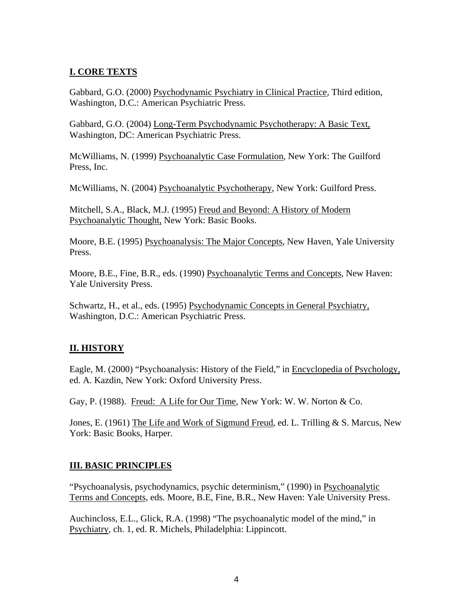# **I. CORE TEXTS**

Gabbard, G.O. (2000) Psychodynamic Psychiatry in Clinical Practice, Third edition, Washington, D.C.: American Psychiatric Press.

Gabbard, G.O. (2004) Long-Term Psychodynamic Psychotherapy: A Basic Text, Washington, DC: American Psychiatric Press.

McWilliams, N. (1999) Psychoanalytic Case Formulation, New York: The Guilford Press, Inc.

McWilliams, N. (2004) Psychoanalytic Psychotherapy, New York: Guilford Press.

Mitchell, S.A., Black, M.J. (1995) Freud and Beyond: A History of Modern Psychoanalytic Thought, New York: Basic Books.

Moore, B.E. (1995) Psychoanalysis: The Major Concepts, New Haven, Yale University Press.

Moore, B.E., Fine, B.R., eds. (1990) Psychoanalytic Terms and Concepts, New Haven: Yale University Press.

Schwartz, H., et al., eds. (1995) Psychodynamic Concepts in General Psychiatry, Washington, D.C.: American Psychiatric Press.

### **II. HISTORY**

Eagle, M. (2000) "Psychoanalysis: History of the Field," in Encyclopedia of Psychology, ed. A. Kazdin, New York: Oxford University Press.

Gay, P. (1988). Freud: A Life for Our Time, New York: W. W. Norton & Co.

Jones, E. (1961) The Life and Work of Sigmund Freud, ed. L. Trilling & S. Marcus, New York: Basic Books, Harper.

# **III. BASIC PRINCIPLES**

"Psychoanalysis, psychodynamics, psychic determinism*,*" (1990) in Psychoanalytic Terms and Concepts, eds. Moore, B.E, Fine, B.R., New Haven: Yale University Press.

Auchincloss, E.L., Glick, R.A. (1998) "The psychoanalytic model of the mind," in Psychiatry, ch. 1, ed. R. Michels, Philadelphia: Lippincott.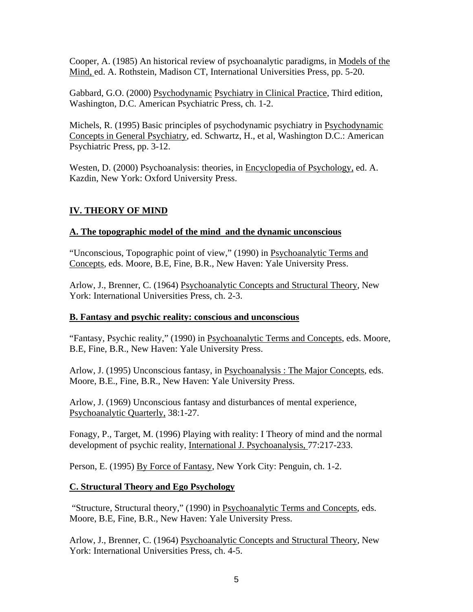Cooper, A. (1985) An historical review of psychoanalytic paradigms, in Models of the Mind, ed. A. Rothstein, Madison CT, International Universities Press, pp. 5-20.

Gabbard, G.O. (2000) Psychodynamic Psychiatry in Clinical Practice, Third edition, Washington, D.C. American Psychiatric Press, ch. 1-2.

Michels, R. (1995) Basic principles of psychodynamic psychiatry in Psychodynamic Concepts in General Psychiatry, ed. Schwartz, H., et al, Washington D.C.: American Psychiatric Press, pp. 3-12.

Westen, D. (2000) Psychoanalysis: theories, in Encyclopedia of Psychology, ed. A. Kazdin, New York: Oxford University Press.

# **IV. THEORY OF MIND**

### **A. The topographic model of the mind and the dynamic unconscious**

"Unconscious, Topographic point of view," (1990) in Psychoanalytic Terms and Concepts, eds. Moore, B.E, Fine, B.R., New Haven: Yale University Press.

Arlow, J., Brenner, C. (1964) Psychoanalytic Concepts and Structural Theory, New York: International Universities Press, ch. 2-3.

#### **B. Fantasy and psychic reality: conscious and unconscious**

"Fantasy, Psychic reality," (1990) in Psychoanalytic Terms and Concepts, eds. Moore, B.E, Fine, B.R., New Haven: Yale University Press.

Arlow, J. (1995) Unconscious fantasy, in Psychoanalysis : The Major Concepts, eds. Moore, B.E., Fine, B.R., New Haven: Yale University Press.

Arlow, J. (1969) Unconscious fantasy and disturbances of mental experience, Psychoanalytic Quarterly, 38:1-27.

Fonagy, P., Target, M. (1996) Playing with reality: I Theory of mind and the normal development of psychic reality, International J. Psychoanalysis, 77:217-233.

Person, E. (1995) By Force of Fantasy, New York City: Penguin, ch. 1-2.

### **C. Structural Theory and Ego Psychology**

 "Structure, Structural theory," (1990) in Psychoanalytic Terms and Concepts, eds. Moore, B.E, Fine, B.R., New Haven: Yale University Press.

Arlow, J., Brenner, C. (1964) Psychoanalytic Concepts and Structural Theory, New York: International Universities Press, ch. 4-5.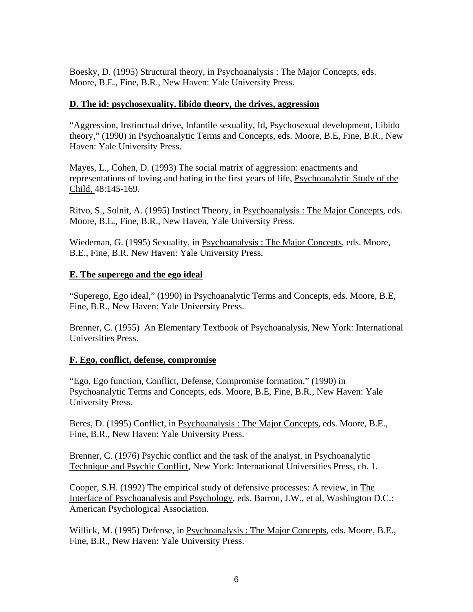Boesky, D. (1995) Structural theory, in Psychoanalysis : The Major Concepts, eds. Moore, B.E., Fine, B.R., New Haven: Yale University Press.

#### **D. The id: psychosexuality. libido theory, the drives, aggression**

"Aggression, Instinctual drive, Infantile sexuality, Id, Psychosexual development, Libido theory," (1990) in Psychoanalytic Terms and Concepts, eds. Moore, B.E, Fine, B.R., New Haven: Yale University Press.

Mayes, L., Cohen, D. (1993) The social matrix of aggression: enactments and representations of loving and hating in the first years of life, Psychoanalytic Study of the Child, 48:145-169.

Ritvo, S., Solnit, A. (1995) Instinct Theory, in Psychoanalysis : The Major Concepts, eds. Moore, B.E., Fine, B.R., New Haven, Yale University Press.

Wiedeman, G. (1995) Sexuality, in Psychoanalysis : The Major Concepts, eds. Moore, B.E., Fine, B.R. New Haven: Yale University Press.

### **E. The superego and the ego ideal**

"Superego, Ego ideal," (1990) in Psychoanalytic Terms and Concepts, eds. Moore, B.E, Fine, B.R., New Haven: Yale University Press.

Brenner, C. (1955) An Elementary Textbook of Psychoanalysis, New York: International Universities Press.

### **F. Ego, conflict, defense, compromise**

"Ego, Ego function, Conflict, Defense, Compromise formation," (1990) in Psychoanalytic Terms and Concepts, eds. Moore, B.E, Fine, B.R., New Haven: Yale University Press.

Beres, D. (1995) Conflict, in Psychoanalysis : The Major Concepts, eds. Moore, B.E., Fine, B.R., New Haven: Yale University Press.

Brenner, C. (1976) Psychic conflict and the task of the analyst, in Psychoanalytic Technique and Psychic Conflict, New York: International Universities Press, ch. 1.

Cooper, S.H. (1992) The empirical study of defensive processes: A review, in The Interface of Psychoanalysis and Psychology, eds. Barron, J.W., et al, Washington D.C.: American Psychological Association.

Willick, M. (1995) Defense, in Psychoanalysis : The Major Concepts, eds. Moore, B.E., Fine, B.R., New Haven: Yale University Press.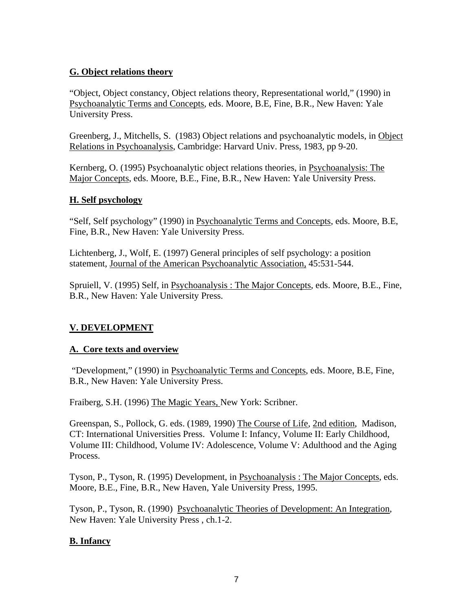#### **G. Object relations theory**

"Object, Object constancy, Object relations theory, Representational world," (1990) in Psychoanalytic Terms and Concepts, eds. Moore, B.E, Fine, B.R., New Haven: Yale University Press.

Greenberg, J., Mitchells, S. (1983) Object relations and psychoanalytic models, in Object Relations in Psychoanalysis, Cambridge: Harvard Univ. Press, 1983, pp 9-20.

Kernberg, O. (1995) Psychoanalytic object relations theories, in Psychoanalysis: The Major Concepts, eds. Moore, B.E., Fine, B.R., New Haven: Yale University Press.

#### **H. Self psychology**

"Self, Self psychology" (1990) in Psychoanalytic Terms and Concepts, eds. Moore, B.E, Fine, B.R., New Haven: Yale University Press.

Lichtenberg, J., Wolf, E. (1997) General principles of self psychology: a position statement, Journal of the American Psychoanalytic Association, 45:531-544.

Spruiell, V. (1995) Self, in Psychoanalysis : The Major Concepts, eds. Moore, B.E., Fine, B.R., New Haven: Yale University Press.

### **V. DEVELOPMENT**

### **A. Core texts and overview**

 "Development," (1990) in Psychoanalytic Terms and Concepts, eds. Moore, B.E, Fine, B.R., New Haven: Yale University Press.

Fraiberg, S.H. (1996) The Magic Years, New York: Scribner.

Greenspan, S., Pollock, G. eds. (1989, 1990) The Course of Life, 2nd edition, Madison, CT: International Universities Press. Volume I: Infancy, Volume II: Early Childhood, Volume III: Childhood, Volume IV: Adolescence, Volume V: Adulthood and the Aging Process.

Tyson, P., Tyson, R. (1995) Development, in Psychoanalysis : The Major Concepts, eds. Moore, B.E., Fine, B.R., New Haven, Yale University Press, 1995.

Tyson, P., Tyson, R. (1990) Psychoanalytic Theories of Development: An Integration, New Haven: Yale University Press , ch.1-2.

### **B. Infancy**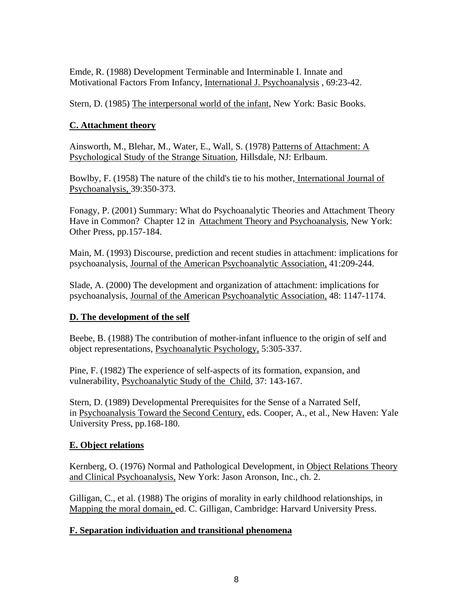Emde, R. (1988) Development Terminable and Interminable I. Innate and Motivational Factors From Infancy, International J. Psychoanalysis , 69:23-42.

Stern, D. (1985) The interpersonal world of the infant, New York: Basic Books.

# **C. Attachment theory**

Ainsworth, M., Blehar, M., Water, E., Wall, S. (1978) Patterns of Attachment: A Psychological Study of the Strange Situation, Hillsdale, NJ: Erlbaum.

Bowlby, F. (1958) The nature of the child's tie to his mother, International Journal of Psychoanalysis, 39:350-373.

Fonagy, P. (2001) Summary: What do Psychoanalytic Theories and Attachment Theory Have in Common? Chapter 12 in Attachment Theory and Psychoanalysis, New York: Other Press, pp.157-184.

Main, M. (1993) Discourse, prediction and recent studies in attachment: implications for psychoanalysis, Journal of the American Psychoanalytic Association, 41:209-244.

Slade, A. (2000) The development and organization of attachment: implications for psychoanalysis, Journal of the American Psychoanalytic Association, 48: 1147-1174.

# **D. The development of the self**

Beebe, B. (1988) The contribution of mother-infant influence to the origin of self and object representations, Psychoanalytic Psychology, 5:305-337.

Pine, F. (1982) The experience of self-aspects of its formation, expansion, and vulnerability, Psychoanalytic Study of the Child, 37: 143-167.

Stern, D. (1989) Developmental Prerequisites for the Sense of a Narrated Self, in Psychoanalysis Toward the Second Century, eds. Cooper, A., et al., New Haven: Yale University Press, pp.168-180.

# **E. Object relations**

Kernberg, O. (1976) Normal and Pathological Development, in Object Relations Theory and Clinical Psychoanalysis, New York: Jason Aronson, Inc., ch. 2.

Gilligan, C., et al. (1988) The origins of morality in early childhood relationships, in Mapping the moral domain, ed. C. Gilligan, Cambridge: Harvard University Press.

# **F. Separation individuation and transitional phenomena**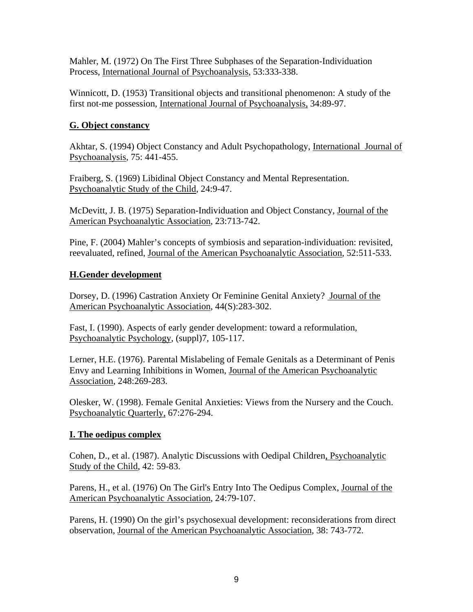Mahler, M. (1972) On The First Three Subphases of the Separation-Individuation Process, International Journal of Psychoanalysis, 53:333-338.

Winnicott, D. (1953) Transitional objects and transitional phenomenon: A study of the first not-me possession, International Journal of Psychoanalysis, 34:89-97.

# **G. Object constancy**

Akhtar, S. (1994) Object Constancy and Adult Psychopathology, International Journal of Psychoanalysis, 75: 441-455.

Fraiberg, S. (1969) Libidinal Object Constancy and Mental Representation. Psychoanalytic Study of the Child, 24:9-47.

McDevitt, J. B. (1975) Separation-Individuation and Object Constancy, Journal of the American Psychoanalytic Association, 23:713-742.

Pine, F. (2004) Mahler's concepts of symbiosis and separation-individuation: revisited, reevaluated, refined, Journal of the American Psychoanalytic Association*,* 52:511-533.

# **H.Gender development**

Dorsey, D. (1996) Castration Anxiety Or Feminine Genital Anxiety? Journal of the American Psychoanalytic Association, 44(S):283-302.

Fast, I. (1990). Aspects of early gender development: toward a reformulation, Psychoanalytic Psychology, (suppl)7, 105-117.

Lerner, H.E. (1976). Parental Mislabeling of Female Genitals as a Determinant of Penis Envy and Learning Inhibitions in Women, Journal of the American Psychoanalytic Association, 248:269-283.

Olesker, W. (1998). Female Genital Anxieties: Views from the Nursery and the Couch. Psychoanalytic Quarterly, 67:276-294.

### **I. The oedipus complex**

Cohen, D., et al. (1987). Analytic Discussions with Oedipal Children, Psychoanalytic Study of the Child, 42: 59-83.

Parens, H., et al. (1976) On The Girl's Entry Into The Oedipus Complex, Journal of the American Psychoanalytic Association, 24:79-107.

Parens, H. (1990) On the girl's psychosexual development: reconsiderations from direct observation, Journal of the American Psychoanalytic Association, 38: 743-772.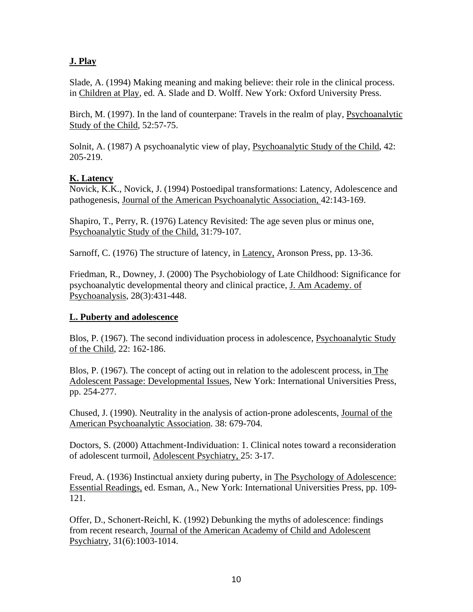# **J. Play**

Slade, A. (1994) Making meaning and making believe: their role in the clinical process. in Children at Play, ed. A. Slade and D. Wolff. New York: Oxford University Press.

Birch, M. (1997). In the land of counterpane: Travels in the realm of play, Psychoanalytic Study of the Child, 52:57-75.

Solnit, A. (1987) A psychoanalytic view of play, Psychoanalytic Study of the Child, 42: 205-219.

#### **K. Latency**

Novick, K.K., Novick, J. (1994) Postoedipal transformations: Latency, Adolescence and pathogenesis, Journal of the American Psychoanalytic Association, 42:143-169.

Shapiro, T., Perry, R. (1976) Latency Revisited: The age seven plus or minus one, Psychoanalytic Study of the Child, 31:79-107.

Sarnoff, C. (1976) The structure of latency, in Latency, Aronson Press, pp. 13-36.

Friedman, R., Downey, J. (2000) The Psychobiology of Late Childhood: Significance for psychoanalytic developmental theory and clinical practice, J. Am Academy. of Psychoanalysis, 28(3):431-448.

### **L. Puberty and adolescence**

Blos, P. (1967). The second individuation process in adolescence, Psychoanalytic Study of the Child, 22: 162-186.

Blos, P. (1967). The concept of acting out in relation to the adolescent process, in The Adolescent Passage: Developmental Issues, New York: International Universities Press, pp. 254-277.

Chused, J. (1990). Neutrality in the analysis of action-prone adolescents, Journal of the American Psychoanalytic Association. 38: 679-704.

Doctors, S. (2000) Attachment-Individuation: 1. Clinical notes toward a reconsideration of adolescent turmoil, Adolescent Psychiatry, 25: 3-17.

Freud, A. (1936) Instinctual anxiety during puberty, in The Psychology of Adolescence: Essential Readings, ed. Esman, A., New York: International Universities Press, pp. 109- 121.

Offer, D., Schonert-Reichl, K. (1992) Debunking the myths of adolescence: findings from recent research, Journal of the American Academy of Child and Adolescent Psychiatry, 31(6):1003-1014.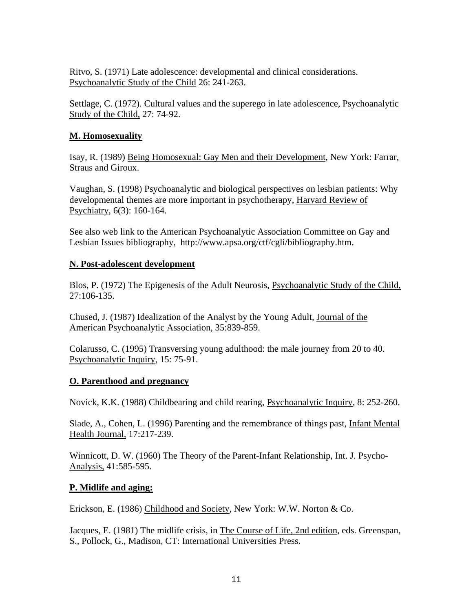Ritvo, S. (1971) Late adolescence: developmental and clinical considerations. Psychoanalytic Study of the Child 26: 241-263.

Settlage, C. (1972). Cultural values and the superego in late adolescence, Psychoanalytic Study of the Child, 27: 74-92.

#### **M. Homosexuality**

Isay, R. (1989) Being Homosexual: Gay Men and their Development, New York: Farrar, Straus and Giroux.

Vaughan, S. (1998) Psychoanalytic and biological perspectives on lesbian patients: Why developmental themes are more important in psychotherapy, Harvard Review of Psychiatry, 6(3): 160-164.

See also web link to the American Psychoanalytic Association Committee on Gay and Lesbian Issues bibliography, http://www.apsa.org/ctf/cgli/bibliography.htm.

#### **N. Post-adolescent development**

Blos, P. (1972) The Epigenesis of the Adult Neurosis, Psychoanalytic Study of the Child, 27:106-135.

Chused, J. (1987) Idealization of the Analyst by the Young Adult, Journal of the American Psychoanalytic Association, 35:839-859.

Colarusso, C. (1995) Transversing young adulthood: the male journey from 20 to 40. Psychoanalytic Inquiry, 15: 75-91.

#### **O. Parenthood and pregnancy**

Novick, K.K. (1988) Childbearing and child rearing, Psychoanalytic Inquiry, 8: 252-260.

Slade, A., Cohen, L. (1996) Parenting and the remembrance of things past, Infant Mental Health Journal*,* 17:217-239.

Winnicott, D. W. (1960) The Theory of the Parent-Infant Relationship, Int. J. Psycho-Analysis, 41:585-595.

#### **P. Midlife and aging:**

Erickson, E. (1986) Childhood and Society, New York: W.W. Norton & Co.

Jacques, E. (1981) The midlife crisis, in The Course of Life, 2nd edition, eds. Greenspan, S., Pollock, G., Madison, CT: International Universities Press.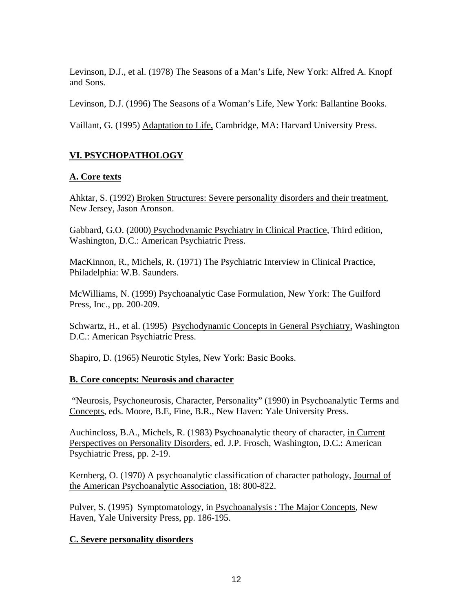Levinson, D.J., et al. (1978) The Seasons of a Man's Life*,* New York: Alfred A. Knopf and Sons.

Levinson, D.J. (1996) The Seasons of a Woman's Life, New York: Ballantine Books.

Vaillant, G. (1995) Adaptation to Life, Cambridge, MA: Harvard University Press.

# **VI. PSYCHOPATHOLOGY**

# **A. Core texts**

Ahktar, S. (1992) Broken Structures: Severe personality disorders and their treatment, New Jersey, Jason Aronson.

Gabbard, G.O. (2000) Psychodynamic Psychiatry in Clinical Practice, Third edition, Washington, D.C.: American Psychiatric Press.

MacKinnon, R., Michels, R. (1971) The Psychiatric Interview in Clinical Practice, Philadelphia: W.B. Saunders.

McWilliams, N. (1999) Psychoanalytic Case Formulation, New York: The Guilford Press, Inc., pp. 200-209.

Schwartz, H., et al. (1995) Psychodynamic Concepts in General Psychiatry, Washington D.C.: American Psychiatric Press.

Shapiro, D. (1965) Neurotic Styles, New York: Basic Books.

# **B. Core concepts: Neurosis and character**

 "Neurosis, Psychoneurosis, Character, Personality" (1990) in Psychoanalytic Terms and Concepts, eds. Moore, B.E, Fine, B.R., New Haven: Yale University Press.

Auchincloss, B.A., Michels, R. (1983) Psychoanalytic theory of character, in Current Perspectives on Personality Disorders, ed. J.P. Frosch, Washington, D.C.: American Psychiatric Press, pp. 2-19.

Kernberg, O. (1970) A psychoanalytic classification of character pathology, Journal of the American Psychoanalytic Association, 18: 800-822.

Pulver, S. (1995) Symptomatology, in Psychoanalysis : The Major Concepts, New Haven, Yale University Press, pp. 186-195.

# **C. Severe personality disorders**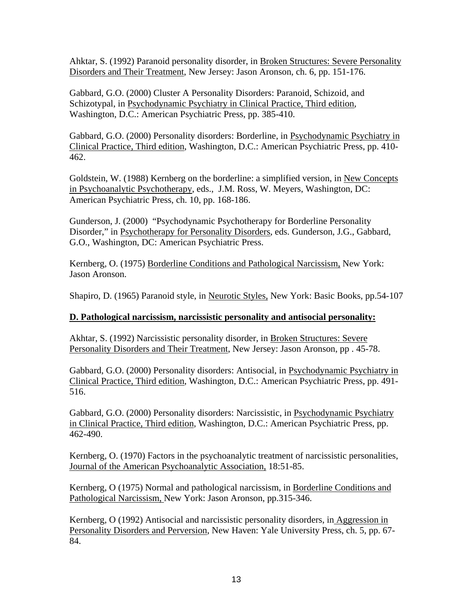Ahktar, S. (1992) Paranoid personality disorder, in Broken Structures: Severe Personality Disorders and Their Treatment, New Jersey: Jason Aronson, ch. 6, pp. 151-176.

Gabbard, G.O. (2000) Cluster A Personality Disorders: Paranoid, Schizoid, and Schizotypal, in Psychodynamic Psychiatry in Clinical Practice, Third edition, Washington, D.C.: American Psychiatric Press, pp. 385-410.

Gabbard, G.O. (2000) Personality disorders: Borderline, in Psychodynamic Psychiatry in Clinical Practice, Third edition, Washington, D.C.: American Psychiatric Press, pp. 410- 462.

Goldstein, W. (1988) Kernberg on the borderline: a simplified version, in New Concepts in Psychoanalytic Psychotherapy, eds., J.M. Ross, W. Meyers, Washington, DC: American Psychiatric Press, ch. 10, pp. 168-186.

Gunderson, J. (2000) "Psychodynamic Psychotherapy for Borderline Personality Disorder," in Psychotherapy for Personality Disorders, eds. Gunderson, J.G., Gabbard, G.O., Washington, DC: American Psychiatric Press.

Kernberg, O. (1975) Borderline Conditions and Pathological Narcissism, New York: Jason Aronson.

Shapiro, D. (1965) Paranoid style, in Neurotic Styles, New York: Basic Books, pp.54-107

### **D. Pathological narcissism, narcissistic personality and antisocial personality:**

Akhtar, S. (1992) Narcissistic personality disorder, in Broken Structures: Severe Personality Disorders and Their Treatment, New Jersey: Jason Aronson, pp . 45-78.

Gabbard, G.O. (2000) Personality disorders: Antisocial, in Psychodynamic Psychiatry in Clinical Practice, Third edition, Washington, D.C.: American Psychiatric Press, pp. 491- 516.

Gabbard, G.O. (2000) Personality disorders: Narcissistic, in Psychodynamic Psychiatry in Clinical Practice, Third edition, Washington, D.C.: American Psychiatric Press, pp. 462-490.

Kernberg, O. (1970) Factors in the psychoanalytic treatment of narcissistic personalities, Journal of the American Psychoanalytic Association, 18:51-85.

Kernberg, O (1975) Normal and pathological narcissism, in Borderline Conditions and Pathological Narcissism, New York: Jason Aronson, pp.315-346.

Kernberg, O (1992) Antisocial and narcissistic personality disorders, in Aggression in Personality Disorders and Perversion, New Haven: Yale University Press, ch. 5, pp. 67- 84.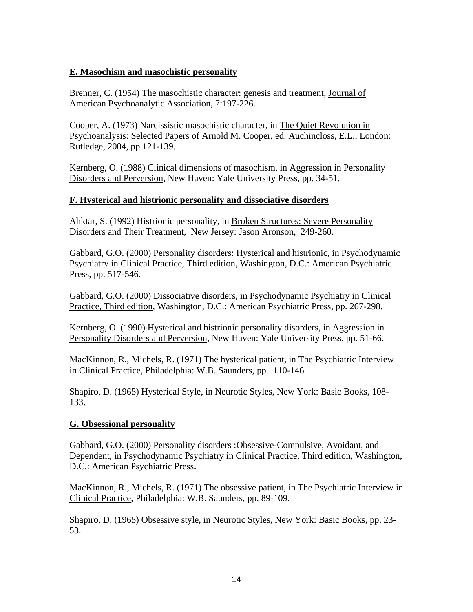#### **E. Masochism and masochistic personality**

Brenner, C. (1954) The masochistic character: genesis and treatment, Journal of American Psychoanalytic Association, 7:197-226.

Cooper, A. (1973) Narcissistic masochistic character, in The Quiet Revolution in Psychoanalysis: Selected Papers of Arnold M. Cooper, ed. Auchincloss, E.L., London: Rutledge, 2004, pp.121-139.

Kernberg, O. (1988) Clinical dimensions of masochism, in Aggression in Personality Disorders and Perversion, New Haven: Yale University Press, pp. 34-51.

### **F. Hysterical and histrionic personality and dissociative disorders**

Ahktar, S. (1992) Histrionic personality, in Broken Structures: Severe Personality Disorders and Their Treatment, New Jersey: Jason Aronson, 249-260.

Gabbard, G.O. (2000) Personality disorders: Hysterical and histrionic, in Psychodynamic Psychiatry in Clinical Practice, Third edition, Washington, D.C.: American Psychiatric Press, pp. 517-546.

Gabbard, G.O. (2000) Dissociative disorders, in Psychodynamic Psychiatry in Clinical Practice, Third edition, Washington, D.C.: American Psychiatric Press, pp. 267-298.

Kernberg, O. (1990) Hysterical and histrionic personality disorders, in Aggression in Personality Disorders and Perversion, New Haven: Yale University Press, pp. 51-66.

MacKinnon, R., Michels, R. (1971) The hysterical patient, in The Psychiatric Interview in Clinical Practice, Philadelphia: W.B. Saunders, pp. 110-146.

Shapiro, D. (1965) Hysterical Style, in Neurotic Styles, New York: Basic Books, 108- 133.

#### **G. Obsessional personality**

Gabbard, G.O. (2000) Personality disorders :Obsessive-Compulsive, Avoidant, and Dependent, in Psychodynamic Psychiatry in Clinical Practice, Third edition, Washington, D.C.: American Psychiatric Press**.** 

MacKinnon, R., Michels, R. (1971) The obsessive patient, in The Psychiatric Interview in Clinical Practice, Philadelphia: W.B. Saunders, pp. 89-109.

Shapiro, D. (1965) Obsessive style, in Neurotic Styles, New York: Basic Books, pp. 23- 53.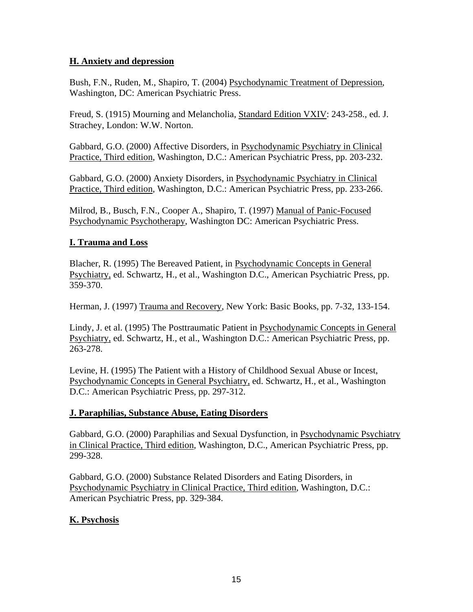### **H. Anxiety and depression**

Bush, F.N., Ruden, M., Shapiro, T. (2004) Psychodynamic Treatment of Depression, Washington, DC: American Psychiatric Press.

Freud, S. (1915) Mourning and Melancholia, Standard Edition VXIV: 243-258., ed. J. Strachey, London: W.W. Norton.

Gabbard, G.O. (2000) Affective Disorders, in Psychodynamic Psychiatry in Clinical Practice, Third edition, Washington, D.C.: American Psychiatric Press, pp. 203-232.

Gabbard, G.O. (2000) Anxiety Disorders, in Psychodynamic Psychiatry in Clinical Practice, Third edition, Washington, D.C.: American Psychiatric Press, pp. 233-266.

Milrod, B., Busch, F.N., Cooper A., Shapiro, T. (1997) Manual of Panic-Focused Psychodynamic Psychotherapy, Washington DC: American Psychiatric Press.

# **I. Trauma and Loss**

Blacher, R. (1995) The Bereaved Patient, in Psychodynamic Concepts in General Psychiatry, ed. Schwartz, H., et al., Washington D.C., American Psychiatric Press, pp. 359-370.

Herman, J. (1997) Trauma and Recovery, New York: Basic Books, pp. 7-32, 133-154.

Lindy, J. et al. (1995) The Posttraumatic Patient in Psychodynamic Concepts in General Psychiatry, ed. Schwartz, H., et al., Washington D.C.: American Psychiatric Press, pp. 263-278.

Levine, H. (1995) The Patient with a History of Childhood Sexual Abuse or Incest, Psychodynamic Concepts in General Psychiatry, ed. Schwartz, H., et al., Washington D.C.: American Psychiatric Press, pp. 297-312.

### **J. Paraphilias, Substance Abuse, Eating Disorders**

Gabbard, G.O. (2000) Paraphilias and Sexual Dysfunction, in Psychodynamic Psychiatry in Clinical Practice, Third edition, Washington, D.C., American Psychiatric Press, pp. 299-328.

Gabbard, G.O. (2000) Substance Related Disorders and Eating Disorders, in Psychodynamic Psychiatry in Clinical Practice, Third edition, Washington, D.C.: American Psychiatric Press, pp. 329-384.

### **K. Psychosis**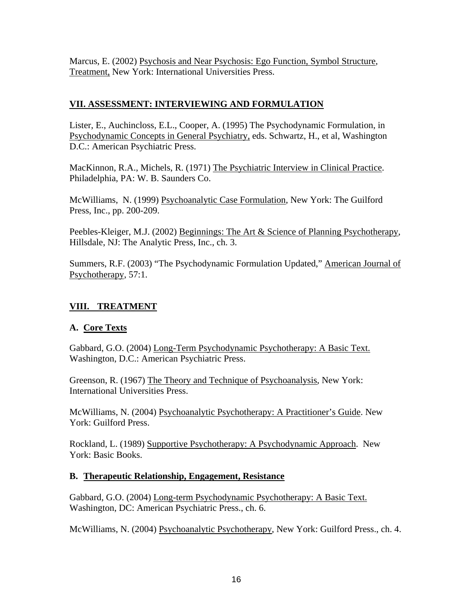Marcus, E. (2002) Psychosis and Near Psychosis: Ego Function, Symbol Structure, Treatment, New York: International Universities Press.

# **VII. ASSESSMENT: INTERVIEWING AND FORMULATION**

Lister, E., Auchincloss, E.L., Cooper, A. (1995) The Psychodynamic Formulation, in Psychodynamic Concepts in General Psychiatry, eds. Schwartz, H., et al, Washington D.C.: American Psychiatric Press.

MacKinnon, R.A., Michels, R. (1971) The Psychiatric Interview in Clinical Practice. Philadelphia, PA: W. B. Saunders Co.

McWilliams, N. (1999) Psychoanalytic Case Formulation, New York: The Guilford Press, Inc., pp. 200-209.

Peebles-Kleiger, M.J. (2002) Beginnings: The Art & Science of Planning Psychotherapy, Hillsdale, NJ: The Analytic Press, Inc., ch. 3.

Summers, R.F. (2003) "The Psychodynamic Formulation Updated," American Journal of Psychotherapy, 57:1.

# **VIII. TREATMENT**

### **A. Core Texts**

Gabbard, G.O. (2004) Long-Term Psychodynamic Psychotherapy: A Basic Text. Washington, D.C.: American Psychiatric Press.

Greenson, R. (1967) The Theory and Technique of Psychoanalysis, New York: International Universities Press.

McWilliams, N. (2004) Psychoanalytic Psychotherapy: A Practitioner's Guide. New York: Guilford Press.

Rockland, L. (1989) Supportive Psychotherapy: A Psychodynamic Approach. New York: Basic Books.

### **B. Therapeutic Relationship, Engagement, Resistance**

Gabbard, G.O. (2004) Long-term Psychodynamic Psychotherapy: A Basic Text. Washington, DC: American Psychiatric Press., ch. 6.

McWilliams, N. (2004) Psychoanalytic Psychotherapy, New York: Guilford Press., ch. 4.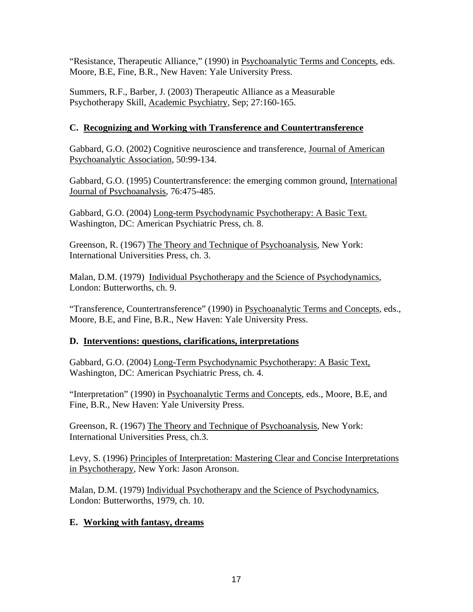"Resistance, Therapeutic Alliance," (1990) in Psychoanalytic Terms and Concepts, eds. Moore, B.E, Fine, B.R., New Haven: Yale University Press.

Summers, R.F., Barber, J. (2003) Therapeutic Alliance as a Measurable Psychotherapy Skill, Academic Psychiatry, Sep; 27:160-165.

# **C. Recognizing and Working with Transference and Countertransference**

Gabbard, G.O. (2002) Cognitive neuroscience and transference, Journal of American Psychoanalytic Association, 50:99-134.

Gabbard, G.O. (1995) Countertransference: the emerging common ground, International Journal of Psychoanalysis, 76:475-485.

Gabbard, G.O. (2004) Long-term Psychodynamic Psychotherapy: A Basic Text. Washington, DC: American Psychiatric Press, ch. 8.

Greenson, R. (1967) The Theory and Technique of Psychoanalysis, New York: International Universities Press, ch. 3.

Malan, D.M. (1979) Individual Psychotherapy and the Science of Psychodynamics, London: Butterworths, ch. 9.

"Transference, Countertransference" (1990) in Psychoanalytic Terms and Concepts, eds., Moore, B.E, and Fine, B.R., New Haven: Yale University Press.

# **D. Interventions: questions, clarifications, interpretations**

Gabbard, G.O. (2004) Long-Term Psychodynamic Psychotherapy: A Basic Text, Washington, DC: American Psychiatric Press, ch. 4.

"Interpretation" (1990) in Psychoanalytic Terms and Concepts, eds., Moore, B.E, and Fine, B.R., New Haven: Yale University Press.

Greenson, R. (1967) The Theory and Technique of Psychoanalysis, New York: International Universities Press, ch.3.

Levy, S. (1996) Principles of Interpretation: Mastering Clear and Concise Interpretations in Psychotherapy, New York: Jason Aronson.

Malan, D.M. (1979) Individual Psychotherapy and the Science of Psychodynamics, London: Butterworths, 1979, ch. 10.

### **E. Working with fantasy, dreams**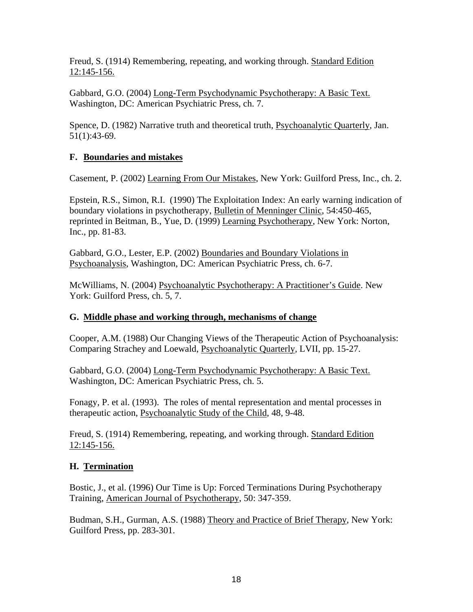Freud, S. (1914) Remembering, repeating, and working through. Standard Edition 12:145-156.

Gabbard, G.O. (2004) Long-Term Psychodynamic Psychotherapy: A Basic Text. Washington, DC: American Psychiatric Press, ch. 7.

Spence, D. (1982) Narrative truth and theoretical truth, Psychoanalytic Quarterly*,* Jan. 51(1):43-69.

# **F. Boundaries and mistakes**

Casement, P. (2002) Learning From Our Mistakes, New York: Guilford Press, Inc., ch. 2.

Epstein, R.S., Simon, R.I. (1990) The Exploitation Index: An early warning indication of boundary violations in psychotherapy, Bulletin of Menninger Clinic, 54:450-465, reprinted in Beitman, B., Yue, D. (1999) Learning Psychotherapy, New York: Norton, Inc., pp. 81-83.

Gabbard, G.O., Lester, E.P. (2002) Boundaries and Boundary Violations in Psychoanalysis, Washington, DC: American Psychiatric Press, ch. 6-7.

McWilliams, N. (2004) Psychoanalytic Psychotherapy: A Practitioner's Guide. New York: Guilford Press, ch. 5, 7.

### **G. Middle phase and working through, mechanisms of change**

Cooper, A.M. (1988) Our Changing Views of the Therapeutic Action of Psychoanalysis: Comparing Strachey and Loewald, Psychoanalytic Quarterly*,* LVII, pp. 15-27.

Gabbard, G.O. (2004) Long-Term Psychodynamic Psychotherapy: A Basic Text. Washington, DC: American Psychiatric Press, ch. 5.

Fonagy, P. et al. (1993). The roles of mental representation and mental processes in therapeutic action, Psychoanalytic Study of the Child, 48, 9-48.

Freud, S. (1914) Remembering, repeating, and working through. Standard Edition 12:145-156.

# **H. Termination**

Bostic, J., et al. (1996) Our Time is Up: Forced Terminations During Psychotherapy Training, American Journal of Psychotherapy, 50: 347-359.

Budman, S.H., Gurman, A.S. (1988) Theory and Practice of Brief Therapy, New York: Guilford Press, pp. 283-301.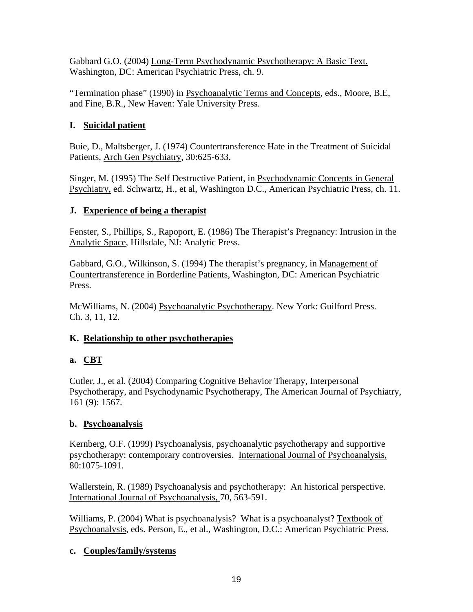Gabbard G.O. (2004) Long-Term Psychodynamic Psychotherapy: A Basic Text. Washington, DC: American Psychiatric Press, ch. 9.

"Termination phase" (1990) in Psychoanalytic Terms and Concepts, eds., Moore, B.E, and Fine, B.R., New Haven: Yale University Press.

# **I. Suicidal patient**

Buie, D., Maltsberger, J. (1974) Countertransference Hate in the Treatment of Suicidal Patients, Arch Gen Psychiatry, 30:625-633.

Singer, M. (1995) The Self Destructive Patient, in Psychodynamic Concepts in General Psychiatry, ed. Schwartz, H., et al, Washington D.C., American Psychiatric Press, ch. 11.

# **J. Experience of being a therapist**

Fenster, S., Phillips, S., Rapoport, E. (1986) The Therapist's Pregnancy: Intrusion in the Analytic Space, Hillsdale, NJ: Analytic Press.

Gabbard, G.O., Wilkinson, S. (1994) The therapist's pregnancy, in Management of Countertransference in Borderline Patients, Washington, DC: American Psychiatric Press.

McWilliams, N. (2004) Psychoanalytic Psychotherapy. New York: Guilford Press. Ch. 3, 11, 12.

# **K. Relationship to other psychotherapies**

# **a. CBT**

Cutler, J., et al. (2004) Comparing Cognitive Behavior Therapy, Interpersonal Psychotherapy, and Psychodynamic Psychotherapy, The American Journal of Psychiatry, 161 (9): 1567.

# **b. Psychoanalysis**

Kernberg, O.F. (1999) Psychoanalysis, psychoanalytic psychotherapy and supportive psychotherapy: contemporary controversies. International Journal of Psychoanalysis, 80:1075-1091.

Wallerstein, R. (1989) Psychoanalysis and psychotherapy: An historical perspective. International Journal of Psychoanalysis, 70, 563-591.

Williams, P. (2004) What is psychoanalysis? What is a psychoanalyst? Textbook of Psychoanalysis, eds. Person, E., et al., Washington, D.C.: American Psychiatric Press.

# **c. Couples/family/systems**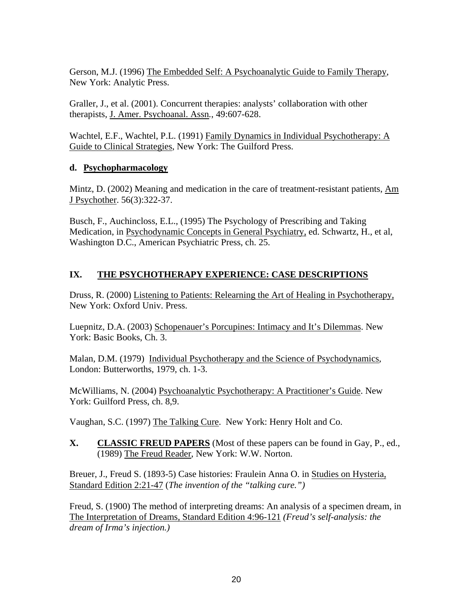Gerson, M.J. (1996) The Embedded Self: A Psychoanalytic Guide to Family Therapy, New York: Analytic Press.

Graller, J., et al. (2001). Concurrent therapies: analysts' collaboration with other therapists, J. Amer. Psychoanal. Assn*.*, 49:607-628.

Wachtel, E.F., Wachtel, P.L. (1991) Family Dynamics in Individual Psychotherapy: A Guide to Clinical Strategies, New York: The Guilford Press.

# **d. Psychopharmacology**

Mintz, D. (2002) Meaning and medication in the care of treatment-resistant patients, Am J Psychother. 56(3):322-37.

Busch, F., Auchincloss, E.L., (1995) The Psychology of Prescribing and Taking Medication, in Psychodynamic Concepts in General Psychiatry, ed. Schwartz, H., et al, Washington D.C., American Psychiatric Press, ch. 25.

# **IX. THE PSYCHOTHERAPY EXPERIENCE: CASE DESCRIPTIONS**

Druss, R. (2000) Listening to Patients: Relearning the Art of Healing in Psychotherapy, New York: Oxford Univ. Press.

Luepnitz, D.A. (2003) Schopenauer's Porcupines: Intimacy and It's Dilemmas. New York: Basic Books, Ch. 3.

Malan, D.M. (1979) Individual Psychotherapy and the Science of Psychodynamics, London: Butterworths, 1979, ch. 1-3.

McWilliams, N. (2004) Psychoanalytic Psychotherapy: A Practitioner's Guide. New York: Guilford Press, ch. 8,9.

Vaughan, S.C. (1997) The Talking Cure. New York: Henry Holt and Co.

# **X. CLASSIC FREUD PAPERS** (Most of these papers can be found in Gay, P., ed., (1989) The Freud Reader, New York: W.W. Norton.

Breuer, J., Freud S. (1893-5) Case histories: Fraulein Anna O. in Studies on Hysteria, Standard Edition 2:21-47 (*The invention of the "talking cure.")*

Freud, S. (1900) The method of interpreting dreams: An analysis of a specimen dream, in The Interpretation of Dreams, Standard Edition 4:96-121 *(Freud's self-analysis: the dream of Irma's injection.)*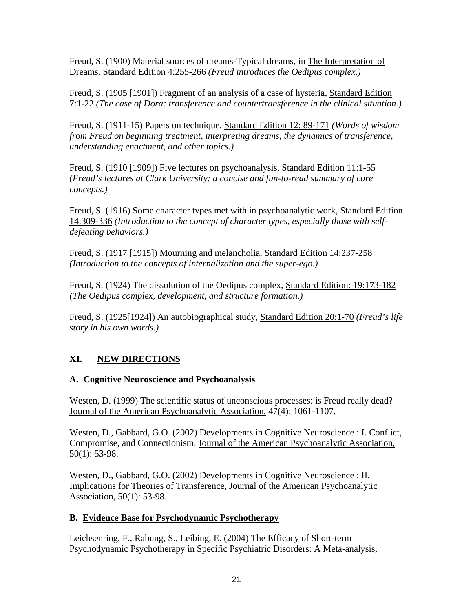Freud, S. (1900) Material sources of dreams-Typical dreams, in The Interpretation of Dreams, Standard Edition 4:255-266 *(Freud introduces the Oedipus complex.)*

Freud, S. (1905 [1901]) Fragment of an analysis of a case of hysteria, Standard Edition 7:1-22 *(The case of Dora: transference and countertransference in the clinical situation.)*

Freud, S. (1911-15) Papers on technique, Standard Edition 12: 89-171 *(Words of wisdom from Freud on beginning treatment, interpreting dreams, the dynamics of transference, understanding enactment, and other topics.)*

Freud, S. (1910 [1909]) Five lectures on psychoanalysis, Standard Edition 11:1-55 *(Freud's lectures at Clark University: a concise and fun-to-read summary of core concepts.)*

Freud, S. (1916) Some character types met with in psychoanalytic work, Standard Edition 14:309-336 *(Introduction to the concept of character types, especially those with selfdefeating behaviors.)*

Freud, S. (1917 [1915]) Mourning and melancholia, Standard Edition 14:237-258 *(Introduction to the concepts of internalization and the super-ego.)*

Freud, S. (1924) The dissolution of the Oedipus complex, Standard Edition: 19:173-182 *(The Oedipus complex, development, and structure formation.)* 

Freud, S. (1925[1924]) An autobiographical study, Standard Edition 20:1-70 *(Freud's life story in his own words.)* 

# **XI. NEW DIRECTIONS**

# **A. Cognitive Neuroscience and Psychoanalysis**

Westen, D. (1999) The scientific status of unconscious processes: is Freud really dead? Journal of the American Psychoanalytic Association, 47(4): 1061-1107.

Westen, D., Gabbard, G.O. (2002) Developments in Cognitive Neuroscience : I. Conflict, Compromise, and Connectionism. Journal of the American Psychoanalytic Association, 50(1): 53-98.

Westen, D., Gabbard, G.O. (2002) Developments in Cognitive Neuroscience : II. Implications for Theories of Transference, Journal of the American Psychoanalytic Association, 50(1): 53-98.

### **B. Evidence Base for Psychodynamic Psychotherapy**

Leichsenring, F., Rabung, S., Leibing, E. (2004) The Efficacy of Short-term Psychodynamic Psychotherapy in Specific Psychiatric Disorders: A Meta-analysis,